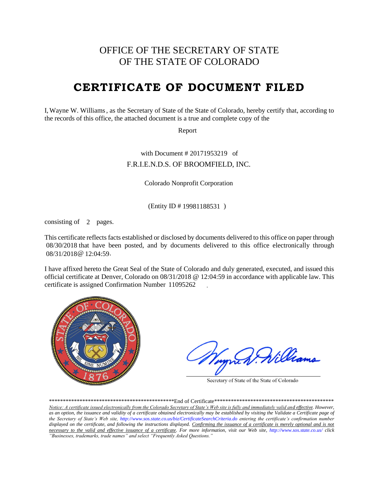## OFFICE OF THE SECRETARY OF STATE OF THE STATE OF COLORADO

## **CERTIFICATE OF DOCUMENT FILED**

I, Wayne W. Williams, as the Secretary of State of the State of Colorado, hereby certify that, according to the records of this office, the attached document is a true and complete copy of the

Report

with Document  $#20171953219$  of F.R.I.E.N.D.S. OF BROOMFIELD, INC.

Colorado Nonprofit Corporation

(Entity ID # 19981188531)

consisting of  $\,$  2 pages.

This certificate reflects facts established or disclosed by documents delivered to this office on paper through 08/30/2018 that have been posted, and by documents delivered to this office electronically through 08/31/2018@ 12:04:59.

I have affixed hereto the Great Seal of the State of Colorado and duly generated, executed, and issued this official certificate at Denver, Colorado on 08/31/2018 @ 12:04:59 in accordance with applicable law. This certificate is assigned Confirmation Number 11095262 .



Williams

Secretary of State of the State of Colorado

\*\*\*\*\*\*\*\*\*\*\*\*\*\*\*\*\*\*\*\*\*\*\*\*\*\*\*\*\*\*\*\*\*\*\*\*\*\*\*\*\*\*\*\*\*End of Certificate\*\*\*\*\*\*\*\*\*\*\*\*\*\*\*\*\*\*\*\*\*\*\*\*\*\*\*\*\*\*\*\*\*\*\*\*\*\*\*\*\*\*\*

*Notice: A certificate issued electronically from the Colorado Secretary of State's Web site is fully and immediately valid and effective. However, as an option, the issuance and validity of a certificate obtained electronically may be established by visiting the Validate a Certificate page of the Secretary of State's Web site, http://www.sos.state.co.us/biz/CertificateSearchCriteria.do entering the certificate's confirmation number displayed on the certificate, and following the instructions displayed. Confirming the issuance of a certificate is merely optional and is not necessary to the valid and effective issuance of a certificate. For more information, visit our Web site, http://www.sos.state.co.us/ click "Businesses, trademarks, trade names" and select "Frequently Asked Questions."*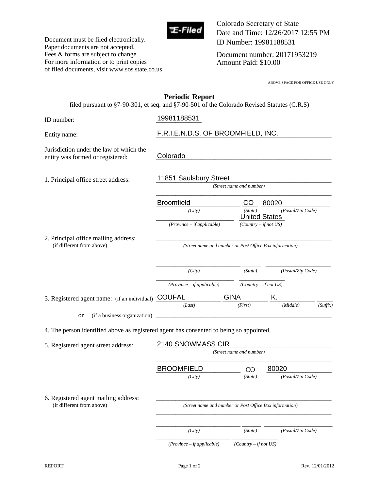

Document must be filed electronically. Paper documents are not accepted. Fees & forms are subject to change. For more information or to print copies of filed documents, visit www.sos.state.co.us. Colorado Secretary of State Date and Time: 12/26/2017 12:55 PM ID Number: 19981188531

Document number: 20171953219 Amount Paid: \$10.00

ABOVE SPACE FOR OFFICE USE ONLY

| filed pursuant to §7-90-301, et seq. and §7-90-501 of the Colorado Revised Statutes (C.R.S) | <b>Periodic Report</b>                                  |                                 |                            |  |  |  |
|---------------------------------------------------------------------------------------------|---------------------------------------------------------|---------------------------------|----------------------------|--|--|--|
| ID number:                                                                                  | 19981188531                                             |                                 |                            |  |  |  |
| Entity name:                                                                                | F.R.I.E.N.D.S. OF BROOMFIELD, INC.                      |                                 |                            |  |  |  |
| Jurisdiction under the law of which the<br>entity was formed or registered:                 | Colorado                                                |                                 |                            |  |  |  |
| 1. Principal office street address:                                                         | 11851 Saulsbury Street<br>(Street name and number)      |                                 |                            |  |  |  |
|                                                                                             | <b>Broomfield</b>                                       | CO.                             | 80020                      |  |  |  |
|                                                                                             | (City)                                                  | (State)<br><b>United States</b> | (Postal/Zip Code)          |  |  |  |
|                                                                                             | $(Province - if applicable)$                            |                                 | $(Country - if not US)$    |  |  |  |
| 2. Principal office mailing address:<br>(if different from above)                           | (Street name and number or Post Office Box information) |                                 |                            |  |  |  |
|                                                                                             | (City)                                                  | (State)                         | (Postal/Zip Code)          |  |  |  |
|                                                                                             | $(Province - if applicable)$                            |                                 | $(Country - if not US)$    |  |  |  |
| 3. Registered agent name: (if an individual)                                                | <b>COUFAL</b><br>(Last)                                 | <b>GINA</b><br>(First)          | K.<br>(Middle)<br>(Suffix) |  |  |  |
| (if a business organization)<br><b>or</b>                                                   |                                                         |                                 |                            |  |  |  |
| 4. The person identified above as registered agent has consented to being so appointed.     |                                                         |                                 |                            |  |  |  |
| 5. Registered agent street address:                                                         | 2140 SNOWMASS CIR                                       |                                 |                            |  |  |  |
|                                                                                             |                                                         | (Street name and number)        |                            |  |  |  |
|                                                                                             | <b>BROOMFIELD</b>                                       | 0                               | 80020                      |  |  |  |
|                                                                                             | (City)                                                  | (State)                         | (Postal/Zip Code)          |  |  |  |
| 6. Registered agent mailing address:<br>(if different from above)                           | (Street name and number or Post Office Box information) |                                 |                            |  |  |  |
|                                                                                             | (City)                                                  | (State)                         | (Postal/Zip Code)          |  |  |  |
|                                                                                             | $(Province - if applicable)$                            | $(Country - if not US)$         |                            |  |  |  |